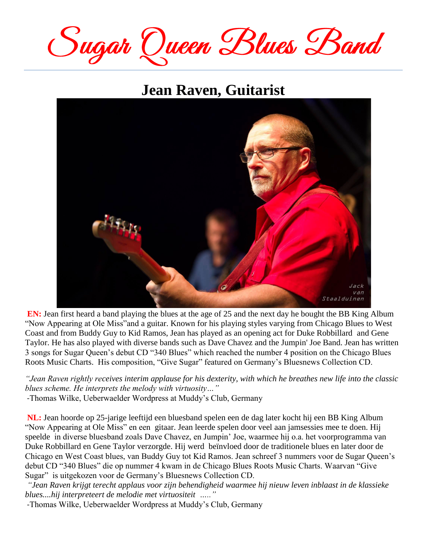Sugar Queen Blues Band

## **Jean Raven, Guitarist**



**EN:** Jean first heard a band playing the blues at the age of 25 and the next day he bought the BB King Album "Now Appearing at Ole Miss"and a guitar. Known for his playing styles varying from Chicago Blues to West Coast and from Buddy Guy to Kid Ramos, Jean has played as an opening act for Duke Robbillard and Gene Taylor. He has also played with diverse bands such as Dave Chavez and the Jumpin' Joe Band. Jean has written 3 songs for Sugar Queen's debut CD "340 Blues" which reached the number 4 position on the Chicago Blues Roots Music Charts. His composition, "Give Sugar" featured on Germany's Bluesnews Collection CD.

*"Jean Raven rightly receives interim applause for his dexterity, with which he breathes new life into the classic blues scheme. He interprets the melody with virtuosity…"*

-Thomas Wilke, Ueberwaelder Wordpress at Muddy's Club, Germany

**NL:** Jean hoorde op 25-jarige leeftijd een bluesband spelen een de dag later kocht hij een BB King Album "Now Appearing at Ole Miss" en een gitaar. Jean leerde spelen door veel aan jamsessies mee te doen. Hij speelde in diverse bluesband zoals Dave Chavez, en Jumpin' Joe, waarmee hij o.a. het voorprogramma van Duke Robbillard en Gene Taylor verzorgde. Hij werd beïnvloed door de traditionele blues en later door de Chicago en West Coast blues, van Buddy Guy tot Kid Ramos. Jean schreef 3 nummers voor de Sugar Queen's debut CD "340 Blues" die op nummer 4 kwam in de Chicago Blues Roots Music Charts. Waarvan "Give Sugar" is uitgekozen voor de Germany's Bluesnews Collection CD.

*"Jean Raven krijgt terecht applaus voor zijn behendigheid waarmee hij nieuw leven inblaast in de klassieke blues....hij interpreteert de melodie met virtuositeit ….."*

-Thomas Wilke, Ueberwaelder Wordpress at Muddy's Club, Germany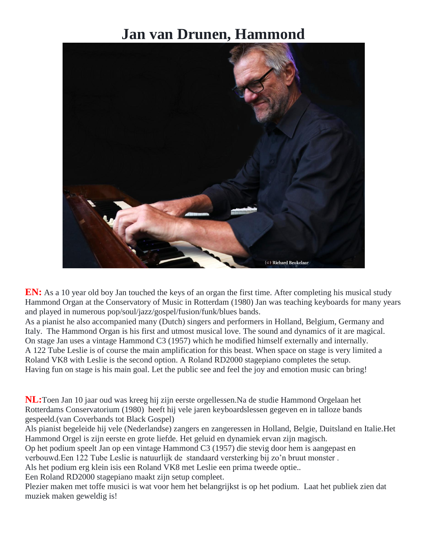## **Jan van Drunen, Hammond**



**EN:** As a 10 year old boy Jan touched the keys of an organ the first time. After completing his musical study Hammond Organ at the Conservatory of Music in Rotterdam (1980) Jan was teaching keyboards for many years and played in numerous pop/soul/jazz/gospel/fusion/funk/blues bands.

As a pianist he also accompanied many (Dutch) singers and performers in Holland, Belgium, Germany and Italy. The Hammond Organ is his first and utmost musical love. The sound and dynamics of it are magical. On stage Jan uses a vintage Hammond C3 (1957) which he modified himself externally and internally. A 122 Tube Leslie is of course the main amplification for this beast. When space on stage is very limited a Roland VK8 with Leslie is the second option. A Roland RD2000 stagepiano completes the setup. Having fun on stage is his main goal. Let the public see and feel the joy and emotion music can bring!

**NL:**Toen Jan 10 jaar oud was kreeg hij zijn eerste orgellessen.Na de studie Hammond Orgelaan het Rotterdams Conservatorium (1980) heeft hij vele jaren keyboardslessen gegeven en in talloze bands gespeeld.(van Coverbands tot Black Gospel)

Als pianist begeleide hij vele (Nederlandse) zangers en zangeressen in Holland, Belgie, Duitsland en Italie.Het Hammond Orgel is zijn eerste en grote liefde. Het geluid en dynamiek ervan zijn magisch.

Op het podium speelt Jan op een vintage Hammond C3 (1957) die stevig door hem is aangepast en verbouwd.Een 122 Tube Leslie is natuurlijk de standaard versterking bij zo'n bruut monster .

Als het podium erg klein isis een Roland VK8 met Leslie een prima tweede optie..

Een Roland RD2000 stagepiano maakt zijn setup compleet.

Plezier maken met toffe musici is wat voor hem het belangrijkst is op het podium. Laat het publiek zien dat muziek maken geweldig is!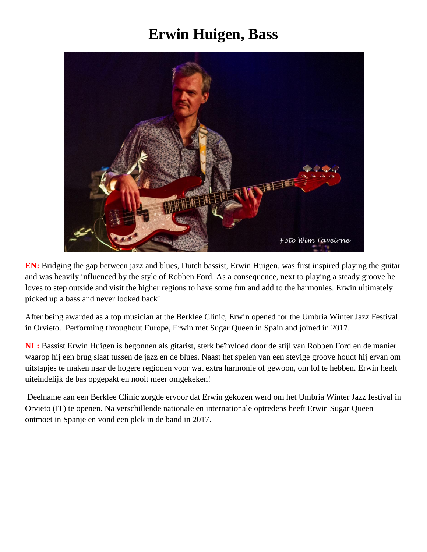## **Erwin Huigen, Bass**



**EN:** Bridging the gap between jazz and blues, Dutch bassist, Erwin Huigen, was first inspired playing the guitar and was heavily influenced by the style of Robben Ford. As a consequence, next to playing a steady groove he loves to step outside and visit the higher regions to have some fun and add to the harmonies. Erwin ultimately picked up a bass and never looked back!

After being awarded as a top musician at the Berklee Clinic, Erwin opened for the Umbria Winter Jazz Festival in Orvieto. Performing throughout Europe, Erwin met Sugar Queen in Spain and joined in 2017.

**NL:** Bassist Erwin Huigen is begonnen als gitarist, sterk beïnvloed door de stijl van Robben Ford en de manier waarop hij een brug slaat tussen de jazz en de blues. Naast het spelen van een stevige groove houdt hij ervan om uitstapjes te maken naar de hogere regionen voor wat extra harmonie of gewoon, om lol te hebben. Erwin heeft uiteindelijk de bas opgepakt en nooit meer omgekeken!

Deelname aan een Berklee Clinic zorgde ervoor dat Erwin gekozen werd om het Umbria Winter Jazz festival in Orvieto (IT) te openen. Na verschillende nationale en internationale optredens heeft Erwin Sugar Queen ontmoet in Spanje en vond een plek in de band in 2017.